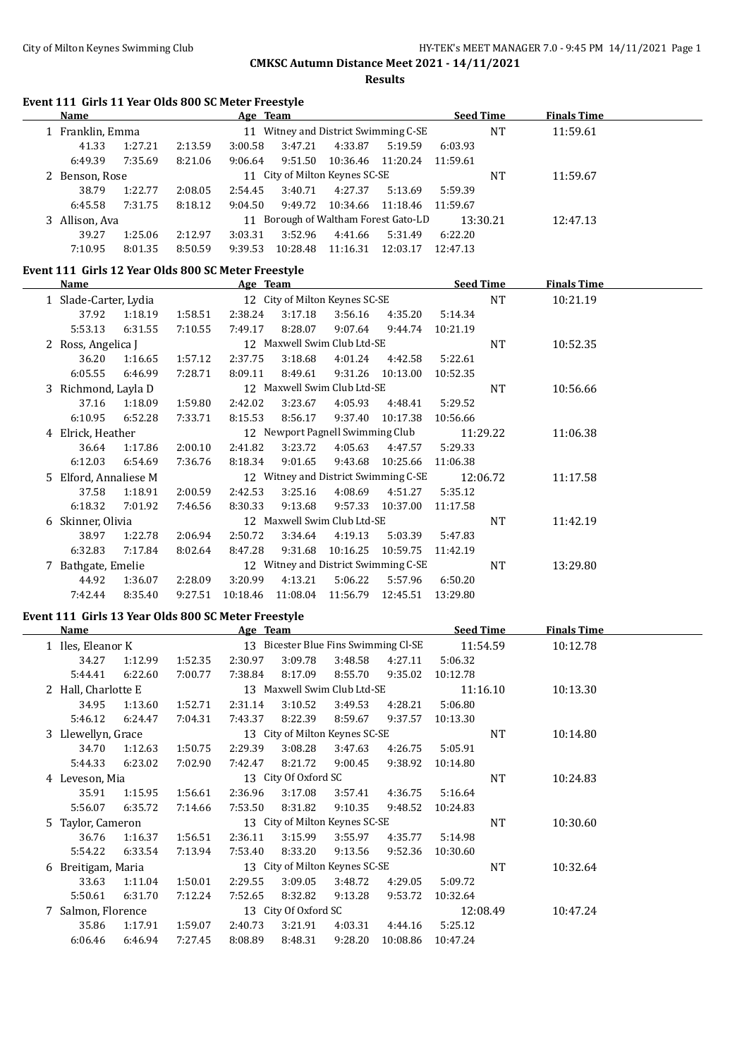**Results**

#### **Event 111 Girls 11 Year Olds 800 SC Meter Freestyle**

| Name           |         |         | Age Team |          |                                |                                            | <b>Seed Time</b> |          | <b>Finals Time</b> |  |
|----------------|---------|---------|----------|----------|--------------------------------|--------------------------------------------|------------------|----------|--------------------|--|
| Franklin, Emma |         |         |          |          |                                | 11 Witney and District Swimming C-SE<br>NT |                  |          | 11:59.61           |  |
| 41.33          | 1:27.21 | 2:13.59 | 3:00.58  | 3:47.21  | 4:33.87                        | 5:19.59                                    | 6:03.93          |          |                    |  |
| 6:49.39        | 7:35.69 | 8:21.06 | 9:06.64  | 9:51.50  | 10:36.46                       | 11:20.24                                   | 11:59.61         |          |                    |  |
| Benson, Rose   |         |         |          |          | 11 City of Milton Keynes SC-SE |                                            |                  | NT       | 11:59.67           |  |
| 38.79          | 1:22.77 | 2:08.05 | 2:54.45  | 3:40.71  | 4:27.37                        | 5:13.69                                    | 5:59.39          |          |                    |  |
| 6:45.58        | 7:31.75 | 8:18.12 | 9:04.50  | 9:49.72  | 10:34.66                       | 11:18.46                                   | 11:59.67         |          |                    |  |
| 3 Allison, Ava |         |         | 11       |          |                                | Borough of Waltham Forest Gato-LD          |                  | 13:30.21 | 12:47.13           |  |
| 39.27          | 1:25.06 | 2:12.97 | 3:03.31  | 3:52.96  | 4:41.66                        | 5:31.49                                    | 6:22.20          |          |                    |  |
| 7:10.95        | 8:01.35 | 8:50.59 | 9:39.53  | 10:28.48 | 11:16.31                       | 12:03.17                                   | 12:47.13         |          |                    |  |

## **Event 111 Girls 12 Year Olds 800 SC Meter Freestyle**

|   | Name                  |         |         | Age Team |                                  |          |                                      |          | <b>Seed Time</b> | <b>Finals Time</b> |  |
|---|-----------------------|---------|---------|----------|----------------------------------|----------|--------------------------------------|----------|------------------|--------------------|--|
|   | 1 Slade-Carter, Lydia |         |         |          | 12 City of Milton Keynes SC-SE   |          |                                      |          | <b>NT</b>        | 10:21.19           |  |
|   | 37.92                 | 1:18.19 | 1:58.51 | 2:38.24  | 3:17.18                          | 3:56.16  | 4:35.20                              | 5:14.34  |                  |                    |  |
|   | 5:53.13               | 6:31.55 | 7:10.55 | 7:49.17  | 8:28.07                          | 9:07.64  | 9:44.74                              | 10:21.19 |                  |                    |  |
|   | 2 Ross, Angelica J    |         |         |          | 12 Maxwell Swim Club Ltd-SE      |          |                                      |          | NT               | 10:52.35           |  |
|   | 36.20                 | 1:16.65 | 1:57.12 | 2:37.75  | 3:18.68                          | 4:01.24  | 4:42.58                              | 5:22.61  |                  |                    |  |
|   | 6:05.55               | 6:46.99 | 7:28.71 | 8:09.11  | 8:49.61                          | 9:31.26  | 10:13.00                             | 10:52.35 |                  |                    |  |
|   | 3 Richmond, Layla D   |         |         |          | 12 Maxwell Swim Club Ltd-SE      |          |                                      |          | <b>NT</b>        | 10:56.66           |  |
|   | 37.16                 | 1:18.09 | 1:59.80 | 2:42.02  | 3:23.67                          | 4:05.93  | 4:48.41                              | 5:29.52  |                  |                    |  |
|   | 6:10.95               | 6:52.28 | 7:33.71 | 8:15.53  | 8:56.17                          | 9:37.40  | 10:17.38                             | 10:56.66 |                  |                    |  |
|   | 4 Elrick, Heather     |         |         |          | 12 Newport Pagnell Swimming Club |          |                                      |          | 11:29.22         | 11:06.38           |  |
|   | 36.64                 | 1:17.86 | 2:00.10 | 2:41.82  | 3:23.72                          | 4:05.63  | 4:47.57                              | 5:29.33  |                  |                    |  |
|   | 6:12.03               | 6:54.69 | 7:36.76 | 8:18.34  | 9:01.65                          | 9:43.68  | 10:25.66                             | 11:06.38 |                  |                    |  |
|   | 5 Elford, Annaliese M |         |         |          |                                  |          | 12 Witney and District Swimming C-SE |          | 12:06.72         | 11:17.58           |  |
|   | 37.58                 | 1:18.91 | 2:00.59 | 2:42.53  | 3:25.16                          | 4:08.69  | 4:51.27                              | 5:35.12  |                  |                    |  |
|   | 6:18.32               | 7:01.92 | 7:46.56 | 8:30.33  | 9:13.68                          | 9:57.33  | 10:37.00                             | 11:17.58 |                  |                    |  |
| 6 | Skinner, Olivia       |         |         |          | 12 Maxwell Swim Club Ltd-SE      |          |                                      |          | NT               | 11:42.19           |  |
|   | 38.97                 | 1:22.78 | 2:06.94 | 2:50.72  | 3:34.64                          | 4:19.13  | 5:03.39                              | 5:47.83  |                  |                    |  |
|   | 6:32.83               | 7:17.84 | 8:02.64 | 8:47.28  | 9:31.68                          | 10:16.25 | 10:59.75                             | 11:42.19 |                  |                    |  |
|   | 7 Bathgate, Emelie    |         |         |          |                                  |          | 12 Witney and District Swimming C-SE |          | <b>NT</b>        | 13:29.80           |  |
|   | 44.92                 | 1:36.07 | 2:28.09 | 3:20.99  | 4:13.21                          | 5:06.22  | 5:57.96                              | 6:50.20  |                  |                    |  |
|   | 7:42.44               | 8:35.40 | 9:27.51 | 10:18.46 | 11:08.04                         | 11:56.79 | 12:45.51                             | 13:29.80 |                  |                    |  |

# **Event 111 Girls 13 Year Olds 800 SC Meter Freestyle**

| Name                |         |         | Age Team |                                      |         |          | <b>Seed Time</b> |           | <b>Finals Time</b> |  |
|---------------------|---------|---------|----------|--------------------------------------|---------|----------|------------------|-----------|--------------------|--|
| 1 Iles, Eleanor K   |         |         |          | 13 Bicester Blue Fins Swimming Cl-SE |         |          |                  | 11:54.59  | 10:12.78           |  |
| 34.27               | 1:12.99 | 1:52.35 | 2:30.97  | 3:09.78                              | 3:48.58 | 4:27.11  | 5:06.32          |           |                    |  |
| 5:44.41             | 6:22.60 | 7:00.77 | 7:38.84  | 8:17.09                              | 8:55.70 | 9:35.02  | 10:12.78         |           |                    |  |
| 2 Hall, Charlotte E |         |         |          | 13 Maxwell Swim Club Ltd-SE          |         |          |                  | 11:16.10  | 10:13.30           |  |
| 34.95               | 1:13.60 | 1:52.71 | 2:31.14  | 3:10.52                              | 3:49.53 | 4:28.21  | 5:06.80          |           |                    |  |
| 5:46.12             | 6:24.47 | 7:04.31 | 7:43.37  | 8:22.39                              | 8:59.67 | 9:37.57  | 10:13.30         |           |                    |  |
| 3 Llewellyn, Grace  |         |         |          | 13 City of Milton Keynes SC-SE       |         |          |                  | NT        | 10:14.80           |  |
| 34.70               | 1:12.63 | 1:50.75 | 2:29.39  | 3:08.28                              | 3:47.63 | 4:26.75  | 5:05.91          |           |                    |  |
| 5:44.33             | 6:23.02 | 7:02.90 | 7:42.47  | 8:21.72                              | 9:00.45 | 9:38.92  | 10:14.80         |           |                    |  |
| 4 Leveson, Mia      |         |         |          | 13 City Of Oxford SC                 |         |          |                  | NT        | 10:24.83           |  |
| 35.91               | 1:15.95 | 1:56.61 | 2:36.96  | 3:17.08                              | 3:57.41 | 4:36.75  | 5:16.64          |           |                    |  |
| 5:56.07             | 6:35.72 | 7:14.66 | 7:53.50  | 8:31.82                              | 9:10.35 | 9:48.52  | 10:24.83         |           |                    |  |
| 5 Taylor, Cameron   |         |         |          | 13 City of Milton Keynes SC-SE       |         |          |                  | <b>NT</b> | 10:30.60           |  |
| 36.76               | 1:16.37 | 1:56.51 | 2:36.11  | 3:15.99                              | 3:55.97 | 4:35.77  | 5:14.98          |           |                    |  |
| 5:54.22             | 6:33.54 | 7:13.94 | 7:53.40  | 8:33.20                              | 9:13.56 | 9:52.36  | 10:30.60         |           |                    |  |
| 6 Breitigam, Maria  |         |         |          | 13 City of Milton Keynes SC-SE       |         |          |                  | <b>NT</b> | 10:32.64           |  |
| 33.63               | 1:11.04 | 1:50.01 | 2:29.55  | 3:09.05                              | 3:48.72 | 4:29.05  | 5:09.72          |           |                    |  |
| 5:50.61             | 6:31.70 | 7:12.24 | 7:52.65  | 8:32.82                              | 9:13.28 | 9:53.72  | 10:32.64         |           |                    |  |
| 7 Salmon, Florence  |         |         |          | 13 City Of Oxford SC                 |         |          |                  | 12:08.49  | 10:47.24           |  |
| 35.86               | 1:17.91 | 1:59.07 | 2:40.73  | 3:21.91                              | 4:03.31 | 4:44.16  | 5:25.12          |           |                    |  |
| 6:06.46             | 6:46.94 | 7:27.45 | 8:08.89  | 8:48.31                              | 9:28.20 | 10:08.86 | 10:47.24         |           |                    |  |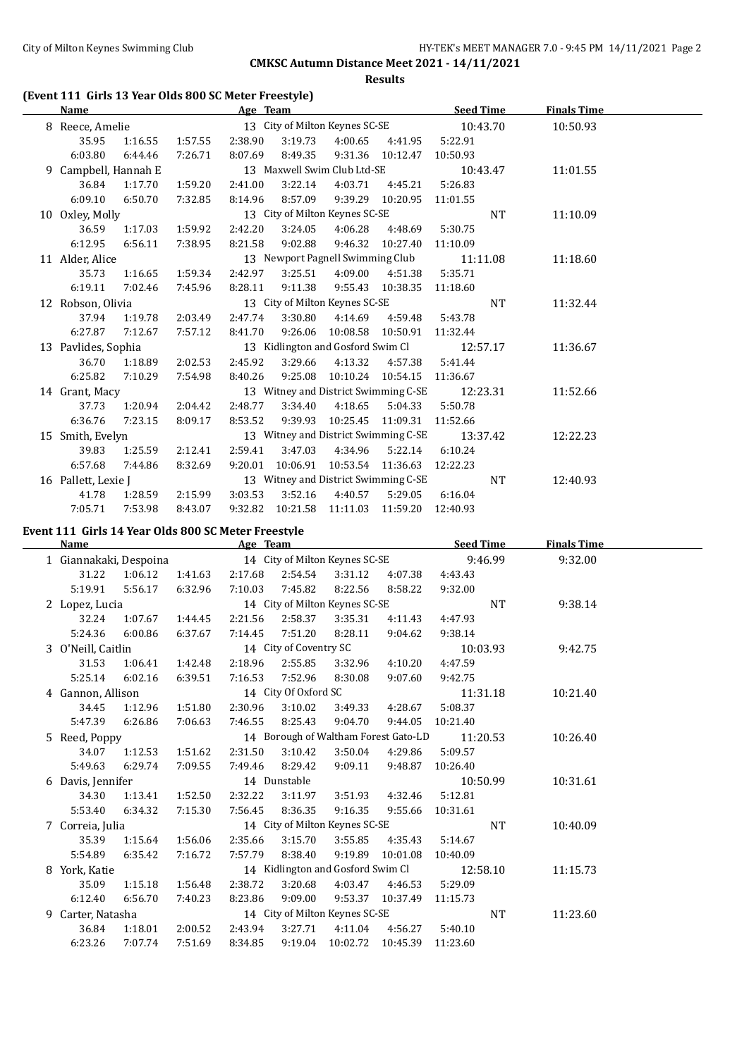## **Results**

## **(Event 111 Girls 13 Year Olds 800 SC Meter Freestyle)**

|    | Name                |         |         | Age Team |          |                                      |                   | <b>Seed Time</b> | <b>Finals Time</b> |  |
|----|---------------------|---------|---------|----------|----------|--------------------------------------|-------------------|------------------|--------------------|--|
|    | 8 Reece, Amelie     |         |         |          |          | 13 City of Milton Keynes SC-SE       |                   | 10:43.70         | 10:50.93           |  |
|    | 35.95               | 1:16.55 | 1:57.55 | 2:38.90  | 3:19.73  | 4:00.65                              | 4:41.95           | 5:22.91          |                    |  |
|    | 6:03.80             | 6:44.46 | 7:26.71 | 8:07.69  | 8:49.35  |                                      | 9:31.36 10:12.47  | 10:50.93         |                    |  |
| 9. | Campbell, Hannah E  |         |         |          |          | 13 Maxwell Swim Club Ltd-SE          |                   | 10:43.47         | 11:01.55           |  |
|    | 36.84               | 1:17.70 | 1:59.20 | 2:41.00  | 3:22.14  | 4:03.71                              | 4:45.21           | 5:26.83          |                    |  |
|    | 6:09.10             | 6:50.70 | 7:32.85 | 8:14.96  | 8:57.09  | 9:39.29                              | 10:20.95          | 11:01.55         |                    |  |
|    | 10 Oxley, Molly     |         |         |          |          | 13 City of Milton Keynes SC-SE       |                   | <b>NT</b>        | 11:10.09           |  |
|    | 36.59               | 1:17.03 | 1:59.92 | 2:42.20  | 3:24.05  | 4:06.28                              | 4:48.69           | 5:30.75          |                    |  |
|    | 6:12.95             | 6:56.11 | 7:38.95 | 8:21.58  | 9:02.88  | 9:46.32                              | 10:27.40          | 11:10.09         |                    |  |
|    | 11 Alder, Alice     |         |         |          |          | 13 Newport Pagnell Swimming Club     |                   | 11:11.08         | 11:18.60           |  |
|    | 35.73               | 1:16.65 | 1:59.34 | 2:42.97  | 3:25.51  | 4:09.00                              | 4:51.38           | 5:35.71          |                    |  |
|    | 6:19.11             | 7:02.46 | 7:45.96 | 8:28.11  | 9:11.38  |                                      | 9:55.43 10:38.35  | 11:18.60         |                    |  |
|    | 12 Robson, Olivia   |         |         |          |          | 13 City of Milton Keynes SC-SE       |                   | <b>NT</b>        | 11:32.44           |  |
|    | 37.94               | 1:19.78 | 2:03.49 | 2:47.74  | 3:30.80  | 4:14.69                              | 4:59.48           | 5:43.78          |                    |  |
|    | 6:27.87             | 7:12.67 | 7:57.12 | 8:41.70  | 9:26.06  |                                      | 10:08.58 10:50.91 | 11:32.44         |                    |  |
|    | 13 Pavlides, Sophia |         |         |          |          | 13 Kidlington and Gosford Swim Cl    |                   | 12:57.17         | 11:36.67           |  |
|    | 36.70               | 1:18.89 | 2:02.53 | 2:45.92  | 3:29.66  | 4:13.32                              | 4:57.38           | 5:41.44          |                    |  |
|    | 6:25.82             | 7:10.29 | 7:54.98 | 8:40.26  | 9:25.08  | 10:10.24                             | 10:54.15          | 11:36.67         |                    |  |
|    | 14 Grant, Macy      |         |         |          |          | 13 Witney and District Swimming C-SE |                   | 12:23.31         | 11:52.66           |  |
|    | 37.73               | 1:20.94 | 2:04.42 | 2:48.77  | 3:34.40  | 4:18.65                              | 5:04.33           | 5:50.78          |                    |  |
|    | 6:36.76             | 7:23.15 | 8:09.17 | 8:53.52  | 9:39.93  | 10:25.45                             | 11:09.31          | 11:52.66         |                    |  |
|    | 15 Smith, Evelyn    |         |         |          |          | 13 Witney and District Swimming C-SE |                   | 13:37.42         | 12:22.23           |  |
|    | 39.83               | 1:25.59 | 2:12.41 | 2:59.41  | 3:47.03  | 4:34.96                              | 5:22.14           | 6:10.24          |                    |  |
|    | 6:57.68             | 7:44.86 | 8:32.69 | 9:20.01  | 10:06.91 | 10:53.54                             | 11:36.63          | 12:22.23         |                    |  |
|    | 16 Pallett, Lexie J |         |         |          |          | 13 Witney and District Swimming C-SE |                   | <b>NT</b>        | 12:40.93           |  |
|    | 41.78               | 1:28.59 | 2:15.99 | 3:03.53  | 3:52.16  | 4:40.57                              | 5:29.05           | 6:16.04          |                    |  |
|    | 7:05.71             | 7:53.98 | 8:43.07 | 9:32.82  | 10:21.58 | 11:11.03                             | 11:59.20          | 12:40.93         |                    |  |

## **Event 111 Girls 14 Year Olds 800 SC Meter Freestyle**

 $\overline{a}$ 

| Name               |         |                                                                                                | Age Team |                      |                                |                                      | <b>Seed Time</b> |           | <b>Finals Time</b> |  |
|--------------------|---------|------------------------------------------------------------------------------------------------|----------|----------------------|--------------------------------|--------------------------------------|------------------|-----------|--------------------|--|
|                    |         | 1 Giannakaki, Despoina 14 City of Milton Keynes SC-SE 9:46.99<br>1:41.63<br>2:17.68<br>2:54.54 |          |                      |                                |                                      |                  |           | 9:32.00            |  |
| 31.22              | 1:06.12 |                                                                                                |          |                      | 3:31.12                        | 4:07.38                              | 4:43.43          |           |                    |  |
| 5:19.91            | 5:56.17 | 6:32.96                                                                                        | 7:10.03  | 7:45.82              | 8:22.56                        | 8:58.22                              | 9:32.00          |           |                    |  |
| 2 Lopez, Lucia     |         |                                                                                                |          |                      | 14 City of Milton Keynes SC-SE |                                      |                  | NT        | 9:38.14            |  |
| 32.24              | 1:07.67 | 1:44.45                                                                                        | 2:21.56  | 2:58.37              | 3:35.31                        | 4:11.43                              | 4:47.93          |           |                    |  |
| 5:24.36            | 6:00.86 | 6:37.67                                                                                        | 7:14.45  | 7:51.20              | 8:28.11                        | 9:04.62                              | 9:38.14          |           |                    |  |
| 3 O'Neill, Caitlin |         |                                                                                                |          |                      | 14 City of Coventry SC         |                                      | 10:03.93         |           | 9:42.75            |  |
| 31.53              | 1:06.41 | 1:42.48                                                                                        | 2:18.96  | 2:55.85              | 3:32.96                        | 4:10.20                              | 4:47.59          |           |                    |  |
| 5:25.14            | 6:02.16 | 6:39.51                                                                                        | 7:16.53  | 7:52.96              | 8:30.08                        | 9:07.60                              | 9:42.75          |           |                    |  |
| 4 Gannon, Allison  |         |                                                                                                |          | 14 City Of Oxford SC |                                |                                      | 11:31.18         |           | 10:21.40           |  |
| 34.45              | 1:12.96 | 1:51.80                                                                                        | 2:30.96  | 3:10.02              | 3:49.33                        | 4:28.67                              | 5:08.37          |           |                    |  |
| 5:47.39            | 6:26.86 | 7:06.63                                                                                        | 7:46.55  | 8:25.43              | 9:04.70                        | 9:44.05                              | 10:21.40         |           |                    |  |
| 5 Reed, Poppy      |         |                                                                                                |          |                      |                                | 14 Borough of Waltham Forest Gato-LD | 11:20.53         |           | 10:26.40           |  |
| 34.07              | 1:12.53 | 1:51.62                                                                                        | 2:31.50  | 3:10.42              | 3:50.04                        | 4:29.86                              | 5:09.57          |           |                    |  |
| 5:49.63            | 6:29.74 | 7:09.55                                                                                        | 7:49.46  | 8:29.42              | 9:09.11                        | 9:48.87                              | 10:26.40         |           |                    |  |
| 6 Davis, Jennifer  |         |                                                                                                |          | 14 Dunstable         |                                |                                      | 10:50.99         |           | 10:31.61           |  |
| 34.30              | 1:13.41 | 1:52.50                                                                                        | 2:32.22  | 3:11.97              | 3:51.93                        | 4:32.46                              | 5:12.81          |           |                    |  |
| 5:53.40            | 6:34.32 | 7:15.30                                                                                        | 7:56.45  | 8:36.35              | 9:16.35                        | 9:55.66                              | 10:31.61         |           |                    |  |
| 7 Correia, Julia   |         |                                                                                                |          |                      | 14 City of Milton Keynes SC-SE |                                      |                  | <b>NT</b> | 10:40.09           |  |
| 35.39              | 1:15.64 | 1:56.06                                                                                        | 2:35.66  | 3:15.70              | 3:55.85                        | 4:35.43                              | 5:14.67          |           |                    |  |
| 5:54.89            | 6:35.42 | 7:16.72                                                                                        | 7:57.79  | 8:38.40              | 9:19.89                        | 10:01.08                             | 10:40.09         |           |                    |  |
| 8 York, Katie      |         |                                                                                                |          |                      |                                | 14 Kidlington and Gosford Swim Cl    | 12:58.10         |           | 11:15.73           |  |
| 35.09              | 1:15.18 | 1:56.48                                                                                        | 2:38.72  | 3:20.68              | 4:03.47                        | 4:46.53                              | 5:29.09          |           |                    |  |
| 6:12.40            | 6:56.70 | 7:40.23                                                                                        | 8:23.86  | 9:09.00              |                                | 9:53.37 10:37.49                     | 11:15.73         |           |                    |  |
| 9 Carter, Natasha  |         |                                                                                                |          |                      | 14 City of Milton Keynes SC-SE |                                      |                  | <b>NT</b> | 11:23.60           |  |
| 36.84              | 1:18.01 | 2:00.52                                                                                        | 2:43.94  | 3:27.71              | 4:11.04                        | 4:56.27                              | 5:40.10          |           |                    |  |
| 6:23.26            | 7:07.74 | 7:51.69                                                                                        | 8:34.85  | 9:19.04              | 10:02.72                       | 10:45.39                             | 11:23.60         |           |                    |  |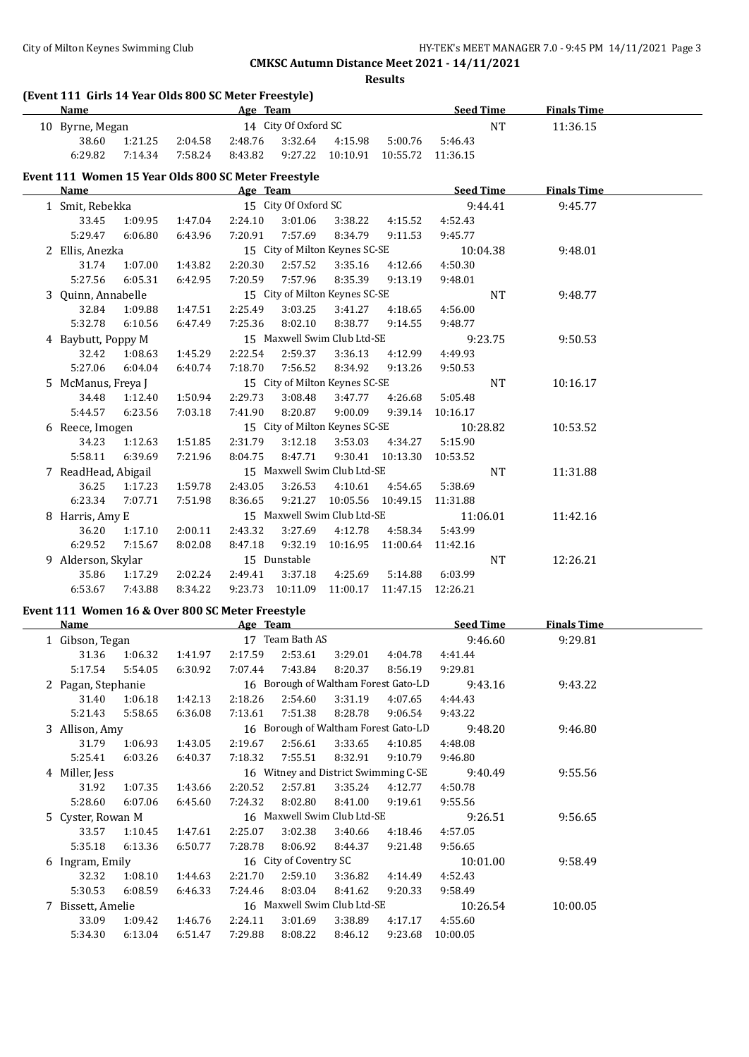**Results**

## **(Event 111 Girls 14 Year Olds 800 SC Meter Freestyle)**

|                          | <b>Name</b>     |         | Age Team |         |                      |                  |         | <b>Seed Time</b>  |    | <b>Finals Time</b> |  |
|--------------------------|-----------------|---------|----------|---------|----------------------|------------------|---------|-------------------|----|--------------------|--|
|                          | 10 Byrne, Megan |         |          |         | 14 City Of Oxford SC |                  |         |                   | NT | 11:36.15           |  |
|                          | 38.60           | 1:21.25 | 2:04.58  | 2:48.76 | 3:32.64              | 4:15.98          | 5:00.76 | 5:46.43           |    |                    |  |
|                          | 6:29.82         | 7:14.34 | 7:58.24  | 8:43.82 |                      | 9:27.22 10:10.91 |         | 10:55.72 11:36.15 |    |                    |  |
| $\overline{\phantom{a}}$ | .               | ----    |          |         |                      |                  |         |                   |    |                    |  |

## **Event 111 Women 15 Year Olds 800 SC Meter Freestyle**

| Name                |         |                                                                  | Age Team |              |                                |          | <b>Seed Time</b> |           | <b>Finals Time</b> |  |
|---------------------|---------|------------------------------------------------------------------|----------|--------------|--------------------------------|----------|------------------|-----------|--------------------|--|
| 1 Smit, Rebekka     |         | 15 City Of Oxford SC<br>1:47.04<br>2:24.10<br>3:01.06<br>3:38.22 |          |              |                                |          |                  | 9:44.41   | 9:45.77            |  |
| 33.45               | 1:09.95 |                                                                  |          |              |                                | 4:15.52  | 4:52.43          |           |                    |  |
| 5:29.47             | 6:06.80 | 6:43.96                                                          | 7:20.91  | 7:57.69      | 8:34.79                        | 9:11.53  | 9:45.77          |           |                    |  |
| 2 Ellis, Anezka     |         |                                                                  |          |              | 15 City of Milton Keynes SC-SE |          |                  | 10:04.38  | 9:48.01            |  |
| 31.74               | 1:07.00 | 1:43.82                                                          | 2:20.30  | 2:57.52      | 3:35.16                        | 4:12.66  | 4:50.30          |           |                    |  |
| 5:27.56             | 6:05.31 | 6:42.95                                                          | 7:20.59  | 7:57.96      | 8:35.39                        | 9:13.19  | 9:48.01          |           |                    |  |
| 3 Ouinn, Annabelle  |         |                                                                  |          |              | 15 City of Milton Keynes SC-SE |          |                  | NT        | 9:48.77            |  |
| 32.84               | 1:09.88 | 1:47.51                                                          | 2:25.49  | 3:03.25      | 3:41.27                        | 4:18.65  | 4:56.00          |           |                    |  |
| 5:32.78             | 6:10.56 | 6:47.49                                                          | 7:25.36  | 8:02.10      | 8:38.77                        | 9:14.55  | 9:48.77          |           |                    |  |
| 4 Baybutt, Poppy M  |         |                                                                  |          |              | 15 Maxwell Swim Club Ltd-SE    |          |                  | 9:23.75   | 9:50.53            |  |
| 32.42               | 1:08.63 | 1:45.29                                                          | 2:22.54  | 2:59.37      | 3:36.13                        | 4:12.99  | 4:49.93          |           |                    |  |
| 5:27.06             | 6:04.04 | 6:40.74                                                          | 7:18.70  | 7:56.52      | 8:34.92                        | 9:13.26  | 9:50.53          |           |                    |  |
| 5 McManus, Freya J  |         |                                                                  |          |              | 15 City of Milton Keynes SC-SE |          |                  | <b>NT</b> | 10:16.17           |  |
| 34.48               | 1:12.40 | 1:50.94                                                          | 2:29.73  | 3:08.48      | 3:47.77                        | 4:26.68  | 5:05.48          |           |                    |  |
| 5:44.57             | 6:23.56 | 7:03.18                                                          | 7:41.90  | 8:20.87      | 9:00.09                        | 9:39.14  | 10:16.17         |           |                    |  |
| 6 Reece, Imogen     |         |                                                                  |          |              | 15 City of Milton Keynes SC-SE |          |                  | 10:28.82  | 10:53.52           |  |
| 34.23               | 1:12.63 | 1:51.85                                                          | 2:31.79  | 3:12.18      | 3:53.03                        | 4:34.27  | 5:15.90          |           |                    |  |
| 5:58.11             | 6:39.69 | 7:21.96                                                          | 8:04.75  | 8:47.71      | 9:30.41                        | 10:13.30 | 10:53.52         |           |                    |  |
| 7 ReadHead, Abigail |         |                                                                  |          |              | 15 Maxwell Swim Club Ltd-SE    |          |                  | <b>NT</b> | 11:31.88           |  |
| 36.25               | 1:17.23 | 1:59.78                                                          | 2:43.05  | 3:26.53      | 4:10.61                        | 4:54.65  | 5:38.69          |           |                    |  |
| 6:23.34             | 7:07.71 | 7:51.98                                                          | 8:36.65  | 9:21.27      | 10:05.56 10:49.15              |          | 11:31.88         |           |                    |  |
| 8 Harris, Amy E     |         |                                                                  |          |              | 15 Maxwell Swim Club Ltd-SE    |          |                  | 11:06.01  | 11:42.16           |  |
| 36.20               | 1:17.10 | 2:00.11                                                          | 2:43.32  | 3:27.69      | 4:12.78                        | 4:58.34  | 5:43.99          |           |                    |  |
| 6:29.52             | 7:15.67 | 8:02.08                                                          | 8:47.18  | 9:32.19      | 10:16.95                       | 11:00.64 | 11:42.16         |           |                    |  |
| 9 Alderson, Skylar  |         |                                                                  |          | 15 Dunstable |                                |          |                  | <b>NT</b> | 12:26.21           |  |
| 35.86               | 1:17.29 | 2:02.24                                                          | 2:49.41  | 3:37.18      | 4:25.69                        | 5:14.88  | 6:03.99          |           |                    |  |
| 6:53.67             | 7:43.88 | 8:34.22                                                          | 9:23.73  | 10:11.09     | 11:00.17                       | 11:47.15 | 12:26.21         |           |                    |  |

## **Event 111 Women 16 & Over 800 SC Meter Freestyle**

| Name               |         |         | Age Team |                                      |         |                                      | <b>Seed Time</b> | <b>Finals Time</b> |  |
|--------------------|---------|---------|----------|--------------------------------------|---------|--------------------------------------|------------------|--------------------|--|
| 1 Gibson, Tegan    |         |         |          | 17 Team Bath AS                      |         |                                      | 9:46.60          | 9:29.81            |  |
| 31.36              | 1:06.32 | 1:41.97 | 2:17.59  | 2:53.61                              | 3:29.01 | 4:04.78                              | 4:41.44          |                    |  |
| 5:17.54            | 5:54.05 | 6:30.92 | 7:07.44  | 7:43.84                              | 8:20.37 | 8:56.19                              | 9:29.81          |                    |  |
| 2 Pagan, Stephanie |         |         |          |                                      |         | 16 Borough of Waltham Forest Gato-LD | 9:43.16          | 9:43.22            |  |
| 31.40              | 1:06.18 | 1:42.13 | 2:18.26  | 2:54.60                              | 3:31.19 | 4:07.65                              | 4:44.43          |                    |  |
| 5:21.43            | 5:58.65 | 6:36.08 | 7:13.61  | 7:51.38                              | 8:28.78 | 9:06.54                              | 9:43.22          |                    |  |
| 3 Allison, Amy     |         |         |          |                                      |         | 16 Borough of Waltham Forest Gato-LD | 9:48.20          | 9:46.80            |  |
| 31.79              | 1:06.93 | 1:43.05 | 2:19.67  | 2:56.61                              | 3:33.65 | 4:10.85                              | 4:48.08          |                    |  |
| 5:25.41            | 6:03.26 | 6:40.37 | 7:18.32  | 7:55.51                              | 8:32.91 | 9:10.79                              | 9:46.80          |                    |  |
| 4 Miller, Jess     |         |         |          | 16 Witney and District Swimming C-SE |         |                                      | 9:40.49          | 9:55.56            |  |
| 31.92              | 1:07.35 | 1:43.66 | 2:20.52  | 2:57.81                              | 3:35.24 | 4:12.77                              | 4:50.78          |                    |  |
| 5:28.60            | 6:07.06 | 6:45.60 | 7:24.32  | 8:02.80                              | 8:41.00 | 9:19.61                              | 9:55.56          |                    |  |
| 5 Cyster, Rowan M  |         |         |          | 16 Maxwell Swim Club Ltd-SE          |         |                                      | 9:26.51          | 9:56.65            |  |
| 33.57              | 1:10.45 | 1:47.61 | 2:25.07  | 3:02.38                              | 3:40.66 | 4:18.46                              | 4:57.05          |                    |  |
| 5:35.18            | 6:13.36 | 6:50.77 | 7:28.78  | 8:06.92                              | 8:44.37 | 9:21.48                              | 9:56.65          |                    |  |
| 6 Ingram, Emily    |         |         |          | 16 City of Coventry SC               |         |                                      | 10:01.00         | 9:58.49            |  |
| 32.32              | 1:08.10 | 1:44.63 | 2:21.70  | 2:59.10                              | 3:36.82 | 4:14.49                              | 4:52.43          |                    |  |
| 5:30.53            | 6:08.59 | 6:46.33 | 7:24.46  | 8:03.04                              | 8:41.62 | 9:20.33                              | 9:58.49          |                    |  |
| 7 Bissett, Amelie  |         |         |          | 16 Maxwell Swim Club Ltd-SE          |         |                                      | 10:26.54         | 10:00.05           |  |
| 33.09              | 1:09.42 | 1:46.76 | 2:24.11  | 3:01.69                              | 3:38.89 | 4:17.17                              | 4:55.60          |                    |  |
| 5:34.30            | 6:13.04 | 6:51.47 | 7:29.88  | 8:08.22                              | 8:46.12 | 9:23.68                              | 10:00.05         |                    |  |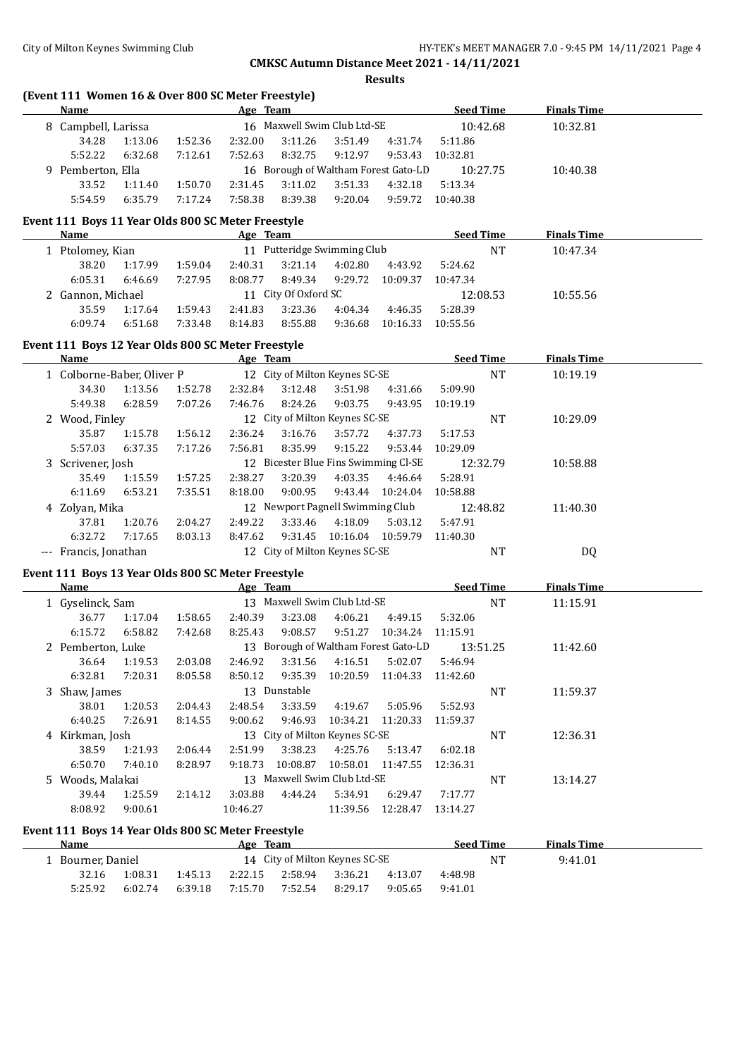$\overline{\phantom{a}}$ 

## **CMKSC Autumn Distance Meet 2021 - 14/11/2021**

**Results**

## **(Event 111 Women 16 & Over 800 SC Meter Freestyle)**

| <b>Name</b>         |         |         | Age Team |                                      |         |         | <b>Seed Time</b> | <b>Finals Time</b> |  |
|---------------------|---------|---------|----------|--------------------------------------|---------|---------|------------------|--------------------|--|
| 8 Campbell, Larissa |         |         |          | 16 Maxwell Swim Club Ltd-SE          |         |         | 10:42.68         | 10:32.81           |  |
| 34.28               | 1:13.06 | 1:52.36 | 2:32.00  | 3:11.26                              | 3:51.49 | 4:31.74 | 5:11.86          |                    |  |
| 5:52.22             | 6:32.68 | 7:12.61 | 7:52.63  | 8:32.75                              | 9:12.97 | 9:53.43 | 10:32.81         |                    |  |
| 9 Pemberton, Ella   |         |         |          | 16 Borough of Waltham Forest Gato-LD |         |         | 10:27.75         | 10:40.38           |  |
| 33.52               | 1:11.40 | 1:50.70 | 2:31.45  | 3:11.02                              | 3:51.33 | 4:32.18 | 5:13.34          |                    |  |
| 5:54.59             | 6:35.79 | 7:17.24 | 7:58.38  | 8:39.38                              | 9:20.04 | 9:59.72 | 10:40.38         |                    |  |

#### **Event 111 Boys 11 Year Olds 800 SC Meter Freestyle**

| Name              |         | Age Team |         |                             |         |          | <b>Seed Time</b> |          | <b>Finals Time</b> |  |
|-------------------|---------|----------|---------|-----------------------------|---------|----------|------------------|----------|--------------------|--|
| 1 Ptolomey, Kian  |         |          |         | 11 Putteridge Swimming Club |         |          |                  | NT       | 10:47.34           |  |
| 38.20             | 1:17.99 | 1:59.04  | 2:40.31 | 3:21.14                     | 4:02.80 | 4:43.92  | 5:24.62          |          |                    |  |
| 6:05.31           | 6:46.69 | 7:27.95  | 8:08.77 | 8:49.34                     | 9:29.72 | 10:09.37 | 10:47.34         |          |                    |  |
| 2 Gannon, Michael |         |          |         | 11 City Of Oxford SC        |         |          |                  | 12:08.53 | 10:55.56           |  |
| 35.59             | 1:17.64 | 1:59.43  | 2:41.83 | 3:23.36                     | 4:04.34 | 4:46.35  | 5:28.39          |          |                    |  |
| 6:09.74           | 6:51.68 | 7:33.48  | 8:14.83 | 8:55.88                     | 9:36.68 | 10:16.33 | 10:55.56         |          |                    |  |
|                   |         |          |         |                             |         |          |                  |          |                    |  |

## **Event 111 Boys 12 Year Olds 800 SC Meter Freestyle**

| <b>Name</b>                |                |         | Age Team                         |         |                                   |          | <b>Seed Time</b> |    | <b>Finals Time</b> |  |
|----------------------------|----------------|---------|----------------------------------|---------|-----------------------------------|----------|------------------|----|--------------------|--|
| 1 Colborne-Baber, Oliver P |                |         |                                  |         | 12 City of Milton Keynes SC-SE    |          |                  | NT | 10:19.19           |  |
| 34.30                      | 1:13.56        | 1:52.78 | 2:32.84                          | 3:12.48 | 3:51.98                           | 4:31.66  | 5:09.90          |    |                    |  |
| 5:49.38                    | 6:28.59        | 7:07.26 | 7:46.76                          | 8:24.26 | 9:03.75                           | 9:43.95  | 10:19.19         |    |                    |  |
| 2 Wood, Finley             |                |         |                                  |         | 12 City of Milton Keynes SC-SE    |          |                  | NT | 10:29.09           |  |
| 35.87                      | 1:15.78        | 1:56.12 | 2:36.24                          | 3:16.76 | 3:57.72                           | 4:37.73  | 5:17.53          |    |                    |  |
| 5:57.03                    | 6:37.35        | 7:17.26 | 7:56.81                          | 8:35.99 | 9:15.22                           | 9:53.44  | 10:29.09         |    |                    |  |
| 3 Scrivener, Josh          |                |         | 12 <sup>1</sup>                  |         | Bicester Blue Fins Swimming Cl-SE |          | 12:32.79         |    | 10:58.88           |  |
| 35.49                      | 1:15.59        | 1:57.25 | 2:38.27                          | 3:20.39 | 4:03.35                           | 4:46.64  | 5:28.91          |    |                    |  |
| 6:11.69                    | 6:53.21        | 7:35.51 | 8:18.00                          | 9:00.95 | 9:43.44                           | 10:24.04 | 10:58.88         |    |                    |  |
|                            | 4 Zolyan, Mika |         | 12 Newport Pagnell Swimming Club |         |                                   |          | 12:48.82         |    | 11:40.30           |  |
| 37.81                      | 1:20.76        | 2:04.27 | 2:49.22                          | 3:33.46 | 4:18.09                           | 5:03.12  | 5:47.91          |    |                    |  |
| 6:32.72                    | 7:17.65        | 8:03.13 | 8:47.62                          | 9:31.45 | 10:16.04                          | 10:59.79 | 11:40.30         |    |                    |  |
| --- Francis, Jonathan      |                |         |                                  |         | 12 City of Milton Keynes SC-SE    |          |                  | NT | DQ                 |  |

#### **Event 111 Boys 13 Year Olds 800 SC Meter Freestyle**

| <b>Name</b>       |                                                                         |         | Age Team |              |                                |                                      |          | <b>Seed Time</b> | <b>Finals Time</b> |  |
|-------------------|-------------------------------------------------------------------------|---------|----------|--------------|--------------------------------|--------------------------------------|----------|------------------|--------------------|--|
| 1 Gyselinck, Sam  | 13 Maxwell Swim Club Ltd-SE<br>1:17.04<br>3:23.08<br>1:58.65<br>2:40.39 |         |          |              |                                |                                      |          | NT               | 11:15.91           |  |
| 36.77             |                                                                         |         |          |              | 4:06.21                        | 4:49.15                              | 5:32.06  |                  |                    |  |
| 6:15.72           | 6:58.82                                                                 | 7:42.68 | 8:25.43  | 9:08.57      | 9:51.27                        | 10:34.24                             | 11:15.91 |                  |                    |  |
| 2 Pemberton, Luke |                                                                         |         |          |              |                                | 13 Borough of Waltham Forest Gato-LD |          | 13:51.25         | 11:42.60           |  |
| 36.64             | 1:19.53                                                                 | 2:03.08 | 2:46.92  | 3:31.56      | 4:16.51                        | 5:02.07                              | 5:46.94  |                  |                    |  |
| 6:32.81           | 7:20.31                                                                 | 8:05.58 | 8:50.12  | 9:35.39      | 10:20.59                       | 11:04.33                             | 11:42.60 |                  |                    |  |
| 3 Shaw, James     |                                                                         |         |          | 13 Dunstable |                                |                                      |          | NT               | 11:59.37           |  |
| 38.01             | 1:20.53                                                                 | 2:04.43 | 2:48.54  | 3:33.59      | 4:19.67                        | 5:05.96                              | 5:52.93  |                  |                    |  |
| 6:40.25           | 7:26.91                                                                 | 8:14.55 | 9:00.62  | 9:46.93      | 10:34.21                       | 11:20.33                             | 11:59.37 |                  |                    |  |
| 4 Kirkman, Josh   |                                                                         |         |          |              | 13 City of Milton Keynes SC-SE |                                      |          | NT               | 12:36.31           |  |
| 38.59             | 1:21.93                                                                 | 2:06.44 | 2:51.99  | 3:38.23      | 4:25.76                        | 5:13.47                              | 6:02.18  |                  |                    |  |
| 6:50.70           | 7:40.10                                                                 | 8:28.97 | 9:18.73  | 10:08.87     | 10:58.01                       | 11:47.55                             | 12:36.31 |                  |                    |  |
| 5 Woods, Malakai  |                                                                         |         |          |              | 13 Maxwell Swim Club Ltd-SE    |                                      |          | NT               | 13:14.27           |  |
| 39.44             | 1:25.59                                                                 | 2:14.12 | 3:03.88  | 4:44.24      | 5:34.91                        | 6:29.47                              | 7:17.77  |                  |                    |  |
| 8:08.92           | 9:00.61                                                                 |         | 10:46.27 |              | 11:39.56                       | 12:28.47                             | 13:14.27 |                  |                    |  |
|                   |                                                                         |         |          |              |                                |                                      |          |                  |                    |  |

#### **Event 111 Boys 14 Year Olds 800 SC Meter Freestyle**

| Name              |         | Team<br>Age |                                |         |         |         | <b>Seed Time</b> |    | <b>Finals Time</b> |  |
|-------------------|---------|-------------|--------------------------------|---------|---------|---------|------------------|----|--------------------|--|
| l Bourner, Daniel |         |             | 14 City of Milton Keynes SC-SE |         |         |         |                  | NΤ | 9:41.01            |  |
| 32.16             | 1:08.31 | 1:45.13     | 2:22.15                        | 2:58.94 | 3:36.21 | 4:13.07 | 4:48.98          |    |                    |  |
| 5:25.92           | 6:02.74 | 6:39.18     | 7:15.70                        | 7:52.54 | 8:29.17 | 9:05.65 | 9:41.01          |    |                    |  |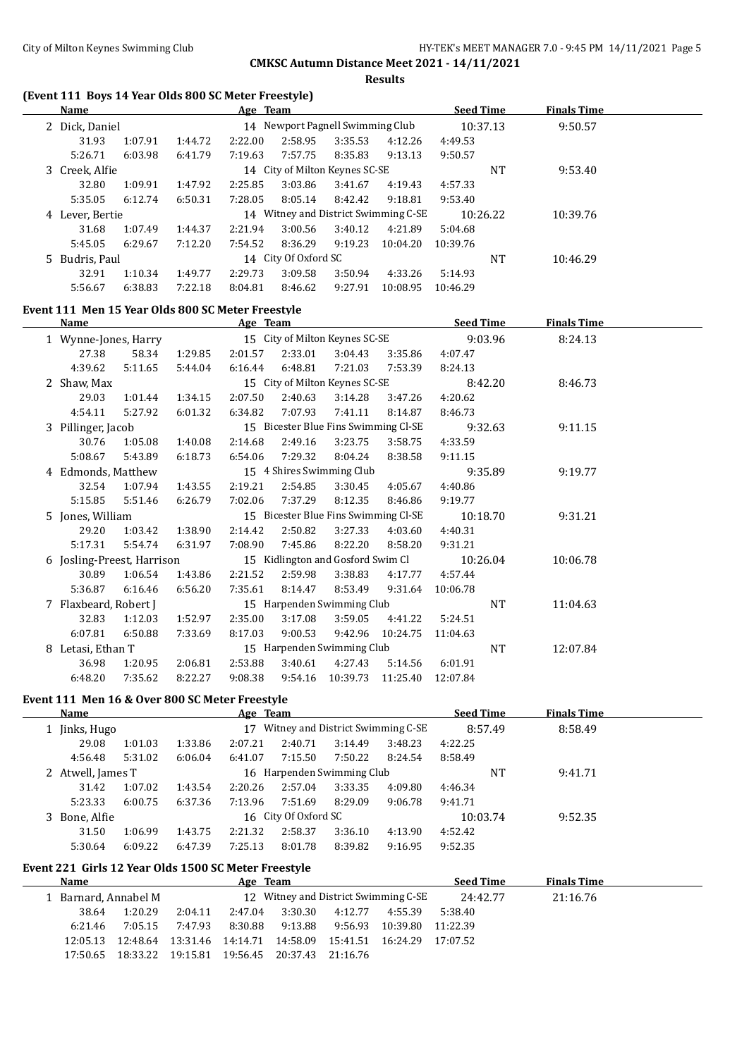#### **Results**

## **(Event 111 Boys 14 Year Olds 800 SC Meter Freestyle)**

| <b>Name</b>     |         |         | Age Team |                                  |         |                                   | <b>Seed Time</b> |    | <b>Finals Time</b> |  |
|-----------------|---------|---------|----------|----------------------------------|---------|-----------------------------------|------------------|----|--------------------|--|
| 2 Dick, Daniel  |         |         |          | 14 Newport Pagnell Swimming Club |         |                                   | 10:37.13         |    | 9:50.57            |  |
| 31.93           | 1:07.91 | 1:44.72 | 2:22.00  | 2:58.95                          | 3:35.53 | 4:12.26                           | 4:49.53          |    |                    |  |
| 5:26.71         | 6:03.98 | 6:41.79 | 7:19.63  | 7:57.75                          | 8:35.83 | 9:13.13                           | 9:50.57          |    |                    |  |
| 3 Creek, Alfie  |         |         |          | 14 City of Milton Keynes SC-SE   |         |                                   |                  | NT | 9:53.40            |  |
| 32.80           | 1:09.91 | 1:47.92 | 2:25.85  | 3:03.86                          | 3:41.67 | 4:19.43                           | 4:57.33          |    |                    |  |
| 5:35.05         | 6:12.74 | 6:50.31 | 7:28.05  | 8:05.14                          | 8:42.42 | 9:18.81                           | 9:53.40          |    |                    |  |
| 4 Lever, Bertie |         |         | 14       |                                  |         | Witney and District Swimming C-SE | 10:26.22         |    | 10:39.76           |  |
| 31.68           | 1:07.49 | 1:44.37 | 2:21.94  | 3:00.56                          | 3:40.12 | 4:21.89                           | 5:04.68          |    |                    |  |
| 5:45.05         | 6:29.67 | 7:12.20 | 7:54.52  | 8:36.29                          | 9:19.23 | 10:04.20                          | 10:39.76         |    |                    |  |
| 5 Budris, Paul  |         |         |          | 14 City Of Oxford SC             |         |                                   |                  | NT | 10:46.29           |  |
| 32.91           | 1:10.34 | 1:49.77 | 2:29.73  | 3:09.58                          | 3:50.94 | 4:33.26                           | 5:14.93          |    |                    |  |
| 5:56.67         | 6:38.83 | 7:22.18 | 8:04.81  | 8:46.62                          | 9:27.91 | 10:08.95                          | 10:46.29         |    |                    |  |

## **Event 111 Men 15 Year Olds 800 SC Meter Freestyle**

| Name                       |         |         | Age Team |         |                                      |          | <b>Seed Time</b> | <b>Finals Time</b> |  |
|----------------------------|---------|---------|----------|---------|--------------------------------------|----------|------------------|--------------------|--|
| 1 Wynne-Jones, Harry       |         |         |          |         | 15 City of Milton Keynes SC-SE       |          | 9:03.96          | 8:24.13            |  |
| 27.38                      | 58.34   | 1:29.85 | 2:01.57  | 2:33.01 | 3:04.43                              | 3:35.86  | 4:07.47          |                    |  |
| 4:39.62                    | 5:11.65 | 5:44.04 | 6:16.44  | 6:48.81 | 7:21.03                              | 7:53.39  | 8:24.13          |                    |  |
| 2 Shaw, Max                |         |         |          |         | 15 City of Milton Keynes SC-SE       |          | 8:42.20          | 8:46.73            |  |
| 29.03                      | 1:01.44 | 1:34.15 | 2:07.50  | 2:40.63 | 3:14.28                              | 3:47.26  | 4:20.62          |                    |  |
| 4:54.11                    | 5:27.92 | 6:01.32 | 6:34.82  | 7:07.93 | 7:41.11                              | 8:14.87  | 8:46.73          |                    |  |
| 3 Pillinger, Jacob         |         |         |          |         | 15 Bicester Blue Fins Swimming Cl-SE |          | 9:32.63          | 9:11.15            |  |
| 30.76                      | 1:05.08 | 1:40.08 | 2:14.68  | 2:49.16 | 3:23.75                              | 3:58.75  | 4:33.59          |                    |  |
| 5:08.67                    | 5:43.89 | 6:18.73 | 6:54.06  | 7:29.32 | 8:04.24                              | 8:38.58  | 9:11.15          |                    |  |
| 4 Edmonds, Matthew         |         |         |          |         | 15 4 Shires Swimming Club            |          | 9:35.89          | 9:19.77            |  |
| 32.54                      | 1:07.94 | 1:43.55 | 2:19.21  | 2:54.85 | 3:30.45                              | 4:05.67  | 4:40.86          |                    |  |
| 5:15.85                    | 5:51.46 | 6:26.79 | 7:02.06  | 7:37.29 | 8:12.35                              | 8:46.86  | 9:19.77          |                    |  |
| 5 Jones, William           |         |         |          |         | 15 Bicester Blue Fins Swimming Cl-SE |          | 10:18.70         | 9:31.21            |  |
| 29.20                      | 1:03.42 | 1:38.90 | 2:14.42  | 2:50.82 | 3:27.33                              | 4:03.60  | 4:40.31          |                    |  |
| 5:17.31                    | 5:54.74 | 6:31.97 | 7:08.90  | 7:45.86 | 8:22.20                              | 8:58.20  | 9:31.21          |                    |  |
| 6 Josling-Preest, Harrison |         |         |          |         | 15 Kidlington and Gosford Swim Cl    |          | 10:26.04         | 10:06.78           |  |
| 30.89                      | 1:06.54 | 1:43.86 | 2:21.52  | 2:59.98 | 3:38.83                              | 4:17.77  | 4:57.44          |                    |  |
| 5:36.87                    | 6:16.46 | 6:56.20 | 7:35.61  | 8:14.47 | 8:53.49                              | 9:31.64  | 10:06.78         |                    |  |
| 7 Flaxbeard, Robert J      |         |         |          |         | 15 Harpenden Swimming Club           |          | <b>NT</b>        | 11:04.63           |  |
| 32.83                      | 1:12.03 | 1:52.97 | 2:35.00  | 3:17.08 | 3:59.05                              | 4:41.22  | 5:24.51          |                    |  |
| 6:07.81                    | 6:50.88 | 7:33.69 | 8:17.03  | 9:00.53 | 9:42.96                              | 10:24.75 | 11:04.63         |                    |  |
| 8 Letasi, Ethan T          |         |         |          |         | 15 Harpenden Swimming Club           |          | NT               | 12:07.84           |  |
| 36.98                      | 1:20.95 | 2:06.81 | 2:53.88  | 3:40.61 | 4:27.43                              | 5:14.56  | 6:01.91          |                    |  |
| 6:48.20                    | 7:35.62 | 8:22.27 | 9:08.38  | 9:54.16 | 10:39.73                             | 11:25.40 | 12:07.84         |                    |  |

## **Event 111 Men 16 & Over 800 SC Meter Freestyle**

| Name              |                    | Age Team                   |                                   | <b>Seed Time</b> | <b>Finals Time</b> |
|-------------------|--------------------|----------------------------|-----------------------------------|------------------|--------------------|
| Jinks, Hugo       |                    | 17                         | Witney and District Swimming C-SE | 8:57.49          | 8:58.49            |
| 29.08             | 1:33.86<br>1:01.03 | 2:07.21<br>2:40.71         | 3:48.23<br>3:14.49                | 4:22.25          |                    |
| 4:56.48           | 5:31.02<br>6:06.04 | 7:15.50<br>6:41.07         | 7:50.22<br>8:24.54                | 8:58.49          |                    |
| 2 Atwell, James T |                    | 16 Harpenden Swimming Club |                                   | NT               | 9:41.71            |
| 31.42             | 1:07.02<br>1:43.54 | 2:20.26<br>2:57.04         | 3:33.35<br>4:09.80                | 4:46.34          |                    |
| 5:23.33           | 6:00.75<br>6:37.36 | 7:13.96<br>7:51.69         | 8:29.09<br>9:06.78                | 9:41.71          |                    |
| 3 Bone, Alfie     |                    | 16 City Of Oxford SC       |                                   | 10:03.74         | 9:52.35            |
| 31.50             | 1:06.99<br>1:43.75 | 2:21.32<br>2:58.37         | 3:36.10<br>4:13.90                | 4:52.42          |                    |
| 5:30.64           | 6:09.22<br>6:47.39 | 7:25.13<br>8:01.78         | 8:39.82<br>9:16.95                | 9:52.35          |                    |

## **Event 221 Girls 12 Year Olds 1500 SC Meter Freestyle**

| Name |                      |          |          | Age Team |         |                   |                                                  | <b>Seed Time</b> | <b>Finals Time</b> |  |
|------|----------------------|----------|----------|----------|---------|-------------------|--------------------------------------------------|------------------|--------------------|--|
|      | 1 Barnard, Annabel M |          |          |          |         |                   | 12 Witney and District Swimming C-SE             | 24:42.77         | 21:16.76           |  |
|      | 38.64                | 1:20.29  | 2:04.11  | 2:47.04  | 3:30.30 | 4:12.77           | 4:55.39                                          | 5:38.40          |                    |  |
|      | 6:21.46              | 7:05.15  | 7:47.93  | 8:30.88  | 9:13.88 | 9:56.93           | 10:39.80                                         | 11:22.39         |                    |  |
|      | 12:05.13             | 12:48.64 | 13:31.46 |          |         |                   | 14:14.71  14:58.09  15:41.51  16:24.29  17:07.52 |                  |                    |  |
|      | 17:50.65             | 18:33.22 | 19:15.81 | 19:56.45 |         | 20:37.43 21:16.76 |                                                  |                  |                    |  |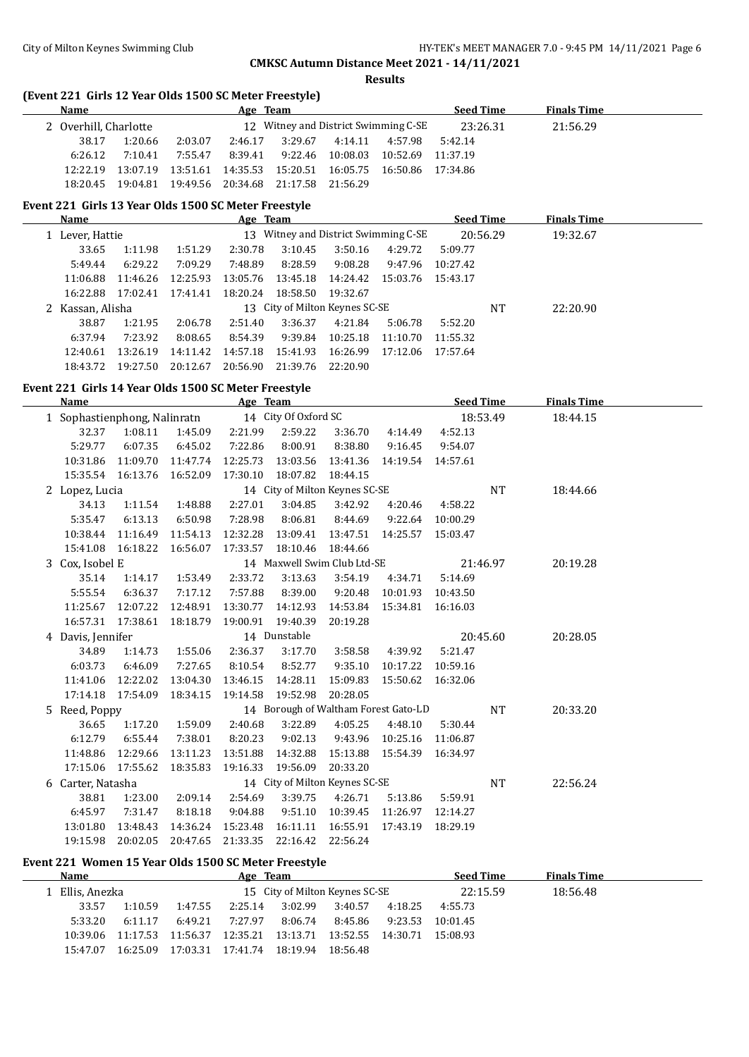**Results**

## **(Event 221 Girls 12 Year Olds 1500 SC Meter Freestyle)**

| Name                  |          |          | Age Team |                   |         |                                                  | <b>Seed Time</b> | <b>Finals Time</b> |  |
|-----------------------|----------|----------|----------|-------------------|---------|--------------------------------------------------|------------------|--------------------|--|
| 2 Overhill, Charlotte |          |          |          |                   |         | 12 Witney and District Swimming C-SE             | 23:26.31         | 21:56.29           |  |
| 38.17                 | 1:20.66  | 2:03.07  | 2:46.17  | 3:29.67           | 4:14.11 | 4:57.98                                          | 5:42.14          |                    |  |
| 6:26.12               | 7:10.41  | 7:55.47  | 8:39.41  | 9:22.46           |         | 10:08.03 10:52.69 11:37.19                       |                  |                    |  |
| 12:22.19              | 13:07.19 | 13:51.61 |          |                   |         | 14:35.53  15:20.51  16:05.75  16:50.86  17:34.86 |                  |                    |  |
| 18:20.45              | 19:04.81 | 19:49.56 | 20:34.68 | 21:17.58 21:56.29 |         |                                                  |                  |                    |  |

## **Event 221 Girls 13 Year Olds 1500 SC Meter Freestyle**

| Name             |          |          | Age Team |          |                                |                                   | <b>Seed Time</b> |    | <b>Finals Time</b> |  |
|------------------|----------|----------|----------|----------|--------------------------------|-----------------------------------|------------------|----|--------------------|--|
| 1 Lever, Hattie  |          |          | 13       |          |                                | Witney and District Swimming C-SE | 20:56.29         |    | 19:32.67           |  |
| 33.65            | 1:11.98  | 1:51.29  | 2:30.78  | 3:10.45  | 3:50.16                        | 4:29.72                           | 5:09.77          |    |                    |  |
| 5:49.44          | 6:29.22  | 7:09.29  | 7:48.89  | 8:28.59  | 9:08.28                        | 9:47.96                           | 10:27.42         |    |                    |  |
| 11:06.88         | 11:46.26 | 12:25.93 | 13:05.76 | 13:45.18 | 14:24.42                       | 15:03.76 15:43.17                 |                  |    |                    |  |
| 16:22.88         | 17:02.41 | 17:41.41 | 18:20.24 | 18:58.50 | 19:32.67                       |                                   |                  |    |                    |  |
| 2 Kassan, Alisha |          |          |          |          | 13 City of Milton Keynes SC-SE |                                   |                  | NT | 22:20.90           |  |
| 38.87            | 1:21.95  | 2:06.78  | 2:51.40  | 3:36.37  | 4:21.84                        | 5:06.78                           | 5:52.20          |    |                    |  |
| 6:37.94          | 7:23.92  | 8:08.65  | 8:54.39  | 9:39.84  | 10:25.18                       | 11:10.70                          | 11:55.32         |    |                    |  |
| 12:40.61         | 13:26.19 | 14:11.42 | 14:57.18 | 15:41.93 | 16:26.99                       | 17:12.06                          | 17:57.64         |    |                    |  |
| 18:43.72         | 19:27.50 | 20:12.67 | 20:56.90 | 21:39.76 | 22:20.90                       |                                   |                  |    |                    |  |

#### **Event 221 Girls 14 Year Olds 1500 SC Meter Freestyle**

| Name              |                    | Age Team                                             |          |                                      |          |                    |          | <b>Seed Time</b> | <b>Finals Time</b> |  |
|-------------------|--------------------|------------------------------------------------------|----------|--------------------------------------|----------|--------------------|----------|------------------|--------------------|--|
|                   |                    | 14 City Of Oxford SC<br>1 Sophastienphong, Nalinratn |          |                                      |          |                    |          | 18:53.49         | 18:44.15           |  |
|                   | 32.37 1:08.11      | 1:45.09                                              | 2:21.99  | 2:59.22                              | 3:36.70  | 4:14.49            | 4:52.13  |                  |                    |  |
| 5:29.77           | 6:07.35            | 6:45.02                                              | 7:22.86  | 8:00.91                              | 8:38.80  | 9:16.45            | 9:54.07  |                  |                    |  |
| 10:31.86          | 11:09.70           | 11:47.74                                             | 12:25.73 | 13:03.56                             | 13:41.36 | 14:19.54           | 14:57.61 |                  |                    |  |
|                   | 15:35.54 16:13.76  | 16:52.09                                             | 17:30.10 | 18:07.82                             | 18:44.15 |                    |          |                  |                    |  |
| 2 Lopez, Lucia    |                    |                                                      |          | 14 City of Milton Keynes SC-SE       |          |                    |          | <b>NT</b>        | 18:44.66           |  |
| 34.13             | 1:11.54            | 1:48.88                                              | 2:27.01  | 3:04.85                              | 3:42.92  | 4:20.46            | 4:58.22  |                  |                    |  |
| 5:35.47           | 6:13.13            | 6:50.98                                              | 7:28.98  | 8:06.81                              | 8:44.69  | 9:22.64            | 10:00.29 |                  |                    |  |
| 10:38.44          | 11:16.49           | 11:54.13                                             | 12:32.28 | 13:09.41                             | 13:47.51 | 14:25.57           | 15:03.47 |                  |                    |  |
| 15:41.08          | 16:18.22           | 16:56.07                                             | 17:33.57 | 18:10.46                             | 18:44.66 |                    |          |                  |                    |  |
| 3 Cox, Isobel E   |                    |                                                      |          | 14 Maxwell Swim Club Ltd-SE          |          |                    |          | 21:46.97         | 20:19.28           |  |
| 35.14             | 1:14.17            | 1:53.49                                              | 2:33.72  | 3:13.63                              | 3:54.19  | 4:34.71            | 5:14.69  |                  |                    |  |
| 5:55.54           | 6:36.37            | 7:17.12                                              | 7:57.88  | 8:39.00                              | 9:20.48  | 10:01.93           | 10:43.50 |                  |                    |  |
|                   | 11:25.67 12:07.22  | 12:48.91                                             | 13:30.77 | 14:12.93                             | 14:53.84 | 15:34.81  16:16.03 |          |                  |                    |  |
|                   | 16:57.31  17:38.61 | 18:18.79                                             | 19:00.91 | 19:40.39                             | 20:19.28 |                    |          |                  |                    |  |
| 4 Davis, Jennifer |                    |                                                      |          | 14 Dunstable                         |          |                    |          | 20:45.60         | 20:28.05           |  |
| 34.89             | 1:14.73            | 1:55.06                                              | 2:36.37  | 3:17.70                              | 3:58.58  | 4:39.92            | 5:21.47  |                  |                    |  |
| 6:03.73           | 6:46.09            | 7:27.65                                              | 8:10.54  | 8:52.77                              | 9:35.10  | 10:17.22           | 10:59.16 |                  |                    |  |
| 11:41.06          | 12:22.02           | 13:04.30                                             | 13:46.15 | 14:28.11                             | 15:09.83 | 15:50.62 16:32.06  |          |                  |                    |  |
|                   | 17:14.18  17:54.09 | 18:34.15                                             | 19:14.58 | 19:52.98                             | 20:28.05 |                    |          |                  |                    |  |
| 5 Reed, Poppy     |                    |                                                      |          | 14 Borough of Waltham Forest Gato-LD |          |                    |          | NT               | 20:33.20           |  |
| 36.65             | 1:17.20            | 1:59.09                                              | 2:40.68  | 3:22.89                              | 4:05.25  | 4:48.10            | 5:30.44  |                  |                    |  |
| 6:12.79           | 6:55.44            | 7:38.01                                              | 8:20.23  | 9:02.13                              | 9:43.96  | 10:25.16           | 11:06.87 |                  |                    |  |
| 11:48.86          | 12:29.66           | 13:11.23                                             | 13:51.88 | 14:32.88                             | 15:13.88 | 15:54.39           | 16:34.97 |                  |                    |  |
| 17:15.06          | 17:55.62           | 18:35.83                                             | 19:16.33 | 19:56.09                             | 20:33.20 |                    |          |                  |                    |  |
| 6 Carter, Natasha |                    |                                                      |          | 14 City of Milton Keynes SC-SE       |          |                    |          | <b>NT</b>        | 22:56.24           |  |
| 38.81             | 1:23.00            | 2:09.14                                              | 2:54.69  | 3:39.75                              | 4:26.71  | 5:13.86            | 5:59.91  |                  |                    |  |
| 6:45.97           | 7:31.47            | 8:18.18                                              | 9:04.88  | 9:51.10                              | 10:39.45 | 11:26.97           | 12:14.27 |                  |                    |  |
| 13:01.80          | 13:48.43           | 14:36.24                                             | 15:23.48 | 16:11.11                             | 16:55.91 | 17:43.19           | 18:29.19 |                  |                    |  |
| 19:15.98          | 20:02.05           | 20:47.65                                             | 21:33.35 | 22:16.42                             | 22:56.24 |                    |          |                  |                    |  |

## **Event 221 Women 15 Year Olds 1500 SC Meter Freestyle**

L.

| <b>Name</b>     |          | Age Team |          |                                |            |                            | <b>Seed Time</b> | <b>Finals Time</b> |  |  |
|-----------------|----------|----------|----------|--------------------------------|------------|----------------------------|------------------|--------------------|--|--|
| 1 Ellis, Anezka |          |          |          | 15 City of Milton Keynes SC-SE |            |                            | 22:15.59         | 18:56.48           |  |  |
| 33.57           | 1:10.59  | 1:47.55  | 2:25.14  | 3:02.99                        | 3:40.57    | 4:18.25                    | 4:55.73          |                    |  |  |
| 5:33.20         | 6:11.17  | 6:49.21  | 7:27.97  | 8:06.74                        | 8:45.86    | 9:23.53                    | 10:01.45         |                    |  |  |
| 10:39.06        | 11:17.53 | 11:56.37 | 12:35.21 | 13:13.71                       |            | 13:52.55 14:30.71 15:08.93 |                  |                    |  |  |
| 15:47.07        | 16:25.09 | 17:03.31 | 17:41.74 | 18:19.94                       | - 18:56.48 |                            |                  |                    |  |  |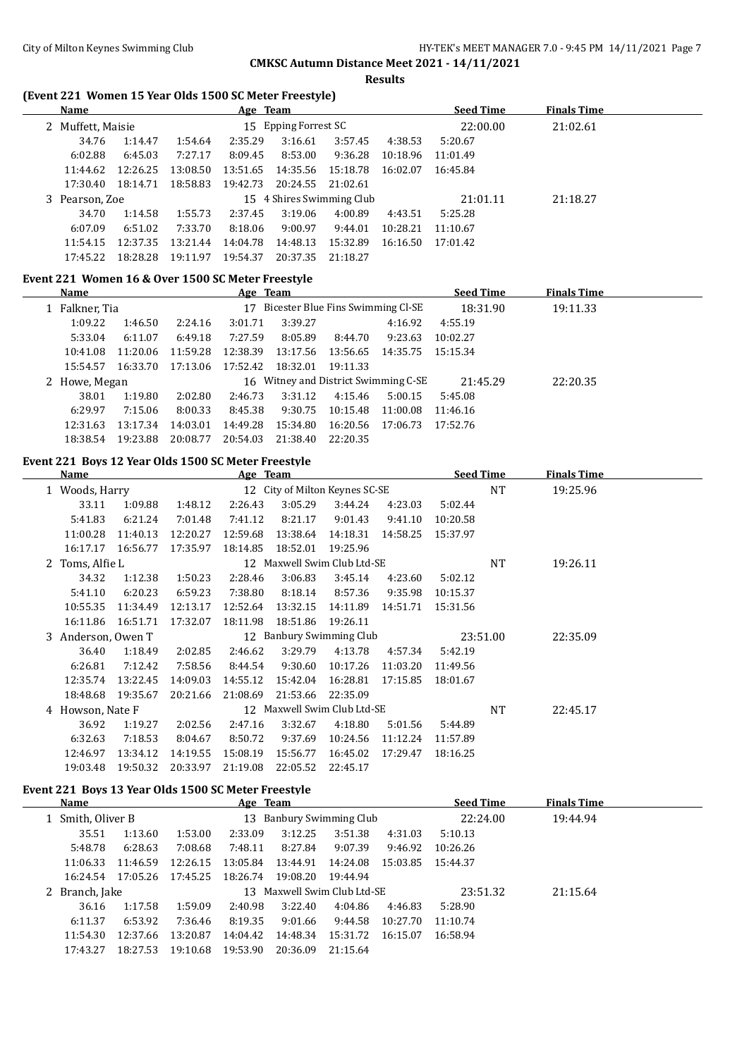**Results**

## **(Event 221 Women 15 Year Olds 1500 SC Meter Freestyle)**

| Name              |          |          | Age Team |                      |                           |          | <b>Seed Time</b> | <b>Finals Time</b> |  |
|-------------------|----------|----------|----------|----------------------|---------------------------|----------|------------------|--------------------|--|
| 2 Muffett, Maisie |          |          |          | 15 Epping Forrest SC |                           |          | 22:00.00         | 21:02.61           |  |
| 34.76             | 1:14.47  | 1:54.64  | 2:35.29  | 3:16.61              | 3:57.45                   | 4:38.53  | 5:20.67          |                    |  |
| 6:02.88           | 6:45.03  | 7:27.17  | 8:09.45  | 8:53.00              | 9:36.28                   | 10:18.96 | 11:01.49         |                    |  |
| 11:44.62          | 12:26.25 | 13:08.50 | 13:51.65 | 14:35.56             | 15:18.78                  | 16:02.07 | 16:45.84         |                    |  |
| 17:30.40          | 18:14.71 | 18:58.83 | 19:42.73 | 20:24.55             | 21:02.61                  |          |                  |                    |  |
| 3 Pearson, Zoe    |          |          |          |                      | 15 4 Shires Swimming Club |          | 21:01.11         | 21:18.27           |  |
| 34.70             | 1:14.58  | 1:55.73  | 2:37.45  | 3:19.06              | 4:00.89                   | 4:43.51  | 5:25.28          |                    |  |
| 6:07.09           | 6:51.02  | 7:33.70  | 8:18.06  | 9:00.97              | 9:44.01                   | 10:28.21 | 11:10.67         |                    |  |
| 11:54.15          | 12:37.35 | 13:21.44 | 14:04.78 | 14:48.13             | 15:32.89                  | 16:16.50 | 17:01.42         |                    |  |
| 17:45.22          | 18:28.28 | 19:11.97 | 19:54.37 | 20:37.35             | 21:18.27                  |          |                  |                    |  |

#### **Event 221 Women 16 & Over 1500 SC Meter Freestyle**

| Name          |          |          | Age Team |                                   |          |                                      | <b>Seed Time</b> | <b>Finals Time</b> |  |
|---------------|----------|----------|----------|-----------------------------------|----------|--------------------------------------|------------------|--------------------|--|
| Falkner, Tia  |          |          | 17       | Bicester Blue Fins Swimming Cl-SE |          |                                      | 18:31.90         | 19:11.33           |  |
| 1:09.22       | 1:46.50  | 2:24.16  | 3:01.71  | 3:39.27                           |          | 4:16.92                              | 4:55.19          |                    |  |
| 5:33.04       | 6:11.07  | 6:49.18  | 7:27.59  | 8:05.89                           | 8:44.70  | 9:23.63                              | 10:02.27         |                    |  |
| 10:41.08      | 11:20.06 | 11:59.28 | 12:38.39 | 13:17.56                          | 13:56.65 | 14:35.75                             | 15:15.34         |                    |  |
| 15:54.57      | 16:33.70 | 17:13.06 | 17:52.42 | 18:32.01                          | 19:11.33 |                                      |                  |                    |  |
| 2 Howe, Megan |          |          |          |                                   |          | 16 Witney and District Swimming C-SE | 21:45.29         | 22:20.35           |  |
| 38.01         | 1:19.80  | 2:02.80  | 2:46.73  | 3:31.12                           | 4:15.46  | 5:00.15                              | 5:45.08          |                    |  |
| 6:29.97       | 7:15.06  | 8:00.33  | 8:45.38  | 9:30.75                           | 10:15.48 | 11:00.08                             | 11:46.16         |                    |  |
| 12:31.63      | 13:17.34 | 14:03.01 | 14:49.28 | 15:34.80                          | 16:20.56 | 17:06.73                             | 17:52.76         |                    |  |
| 18:38.54      | 19:23.88 | 20:08.77 | 20:54.03 | 21:38.40                          | 22:20.35 |                                      |                  |                    |  |

## **Event 221 Boys 12 Year Olds 1500 SC Meter Freestyle**

| Name               |          |          | Age Team |          |                                |          | <b>Seed Time</b> |           | <b>Finals Time</b> |  |
|--------------------|----------|----------|----------|----------|--------------------------------|----------|------------------|-----------|--------------------|--|
| 1 Woods, Harry     |          |          |          |          | 12 City of Milton Keynes SC-SE |          |                  | <b>NT</b> | 19:25.96           |  |
| 33.11              | 1:09.88  | 1:48.12  | 2:26.43  | 3:05.29  | 3:44.24                        | 4:23.03  | 5:02.44          |           |                    |  |
| 5:41.83            | 6:21.24  | 7:01.48  | 7:41.12  | 8:21.17  | 9:01.43                        | 9:41.10  | 10:20.58         |           |                    |  |
| 11:00.28           | 11:40.13 | 12:20.27 | 12:59.68 | 13:38.64 | 14:18.31                       | 14:58.25 | 15:37.97         |           |                    |  |
| 16:17.17           | 16:56.77 | 17:35.97 | 18:14.85 | 18:52.01 | 19:25.96                       |          |                  |           |                    |  |
| 2 Toms, Alfie L    |          |          |          |          | 12 Maxwell Swim Club Ltd-SE    |          |                  | NT        | 19:26.11           |  |
| 34.32              | 1:12.38  | 1:50.23  | 2:28.46  | 3:06.83  | 3:45.14                        | 4:23.60  | 5:02.12          |           |                    |  |
| 5:41.10            | 6:20.23  | 6:59.23  | 7:38.80  | 8:18.14  | 8:57.36                        | 9:35.98  | 10:15.37         |           |                    |  |
| 10:55.35           | 11:34.49 | 12:13.17 | 12:52.64 | 13:32.15 | 14:11.89                       | 14:51.71 | 15:31.56         |           |                    |  |
| 16:11.86           | 16:51.71 | 17:32.07 | 18:11.98 | 18:51.86 | 19:26.11                       |          |                  |           |                    |  |
| 3 Anderson, Owen T |          |          |          |          | 12 Banbury Swimming Club       |          |                  | 23:51.00  | 22:35.09           |  |
| 36.40              | 1:18.49  | 2:02.85  | 2:46.62  | 3:29.79  | 4:13.78                        | 4:57.34  | 5:42.19          |           |                    |  |
| 6:26.81            | 7:12.42  | 7:58.56  | 8:44.54  | 9:30.60  | 10:17.26                       | 11:03.20 | 11:49.56         |           |                    |  |
| 12:35.74           | 13:22.45 | 14:09.03 | 14:55.12 | 15:42.04 | 16:28.81                       | 17:15.85 | 18:01.67         |           |                    |  |
| 18:48.68           | 19:35.67 | 20:21.66 | 21:08.69 | 21:53.66 | 22:35.09                       |          |                  |           |                    |  |
| 4 Howson, Nate F   |          |          |          |          | 12 Maxwell Swim Club Ltd-SE    |          |                  | NT        | 22:45.17           |  |
| 36.92              | 1:19.27  | 2:02.56  | 2:47.16  | 3:32.67  | 4:18.80                        | 5:01.56  | 5:44.89          |           |                    |  |
| 6:32.63            | 7:18.53  | 8:04.67  | 8:50.72  | 9:37.69  | 10:24.56                       | 11:12.24 | 11:57.89         |           |                    |  |
| 12:46.97           | 13:34.12 | 14:19.55 | 15:08.19 | 15:56.77 | 16:45.02                       | 17:29.47 | 18:16.25         |           |                    |  |
| 19:03.48           | 19:50.32 | 20:33.97 | 21:19.08 | 22:05.52 | 22:45.17                       |          |                  |           |                    |  |

#### **Event 221 Boys 13 Year Olds 1500 SC Meter Freestyle**

| Name              |                |          | Age Team                 |                             |          |          | <b>Seed Time</b> | <b>Finals Time</b> |  |
|-------------------|----------------|----------|--------------------------|-----------------------------|----------|----------|------------------|--------------------|--|
| 1 Smith, Oliver B |                |          | 13 Banbury Swimming Club |                             |          | 22:24.00 | 19:44.94         |                    |  |
| 35.51             | 1:13.60        | 1:53.00  | 2:33.09                  | 3:12.25                     | 3:51.38  | 4:31.03  | 5:10.13          |                    |  |
| 5:48.78           | 6:28.63        | 7:08.68  | 7:48.11                  | 8:27.84                     | 9:07.39  | 9:46.92  | 10:26.26         |                    |  |
| 11:06.33          | 11:46.59       | 12:26.15 | 13:05.84                 | 13:44.91                    | 14:24.08 | 15:03.85 | 15:44.37         |                    |  |
| 16:24.54          | 17:05.26       | 17:45.25 | 18:26.74                 | 19:08.20                    | 19:44.94 |          |                  |                    |  |
|                   | 2 Branch, Jake |          |                          | 13 Maxwell Swim Club Ltd-SE |          |          | 23:51.32         | 21:15.64           |  |
| 36.16             | 1:17.58        | 1:59.09  | 2:40.98                  | 3:22.40                     | 4:04.86  | 4:46.83  | 5:28.90          |                    |  |
| 6:11.37           | 6:53.92        | 7:36.46  | 8:19.35                  | 9:01.66                     | 9:44.58  | 10:27.70 | 11:10.74         |                    |  |
| 11:54.30          | 12:37.66       | 13:20.87 | 14:04.42                 | 14:48.34                    | 15:31.72 | 16:15.07 | 16:58.94         |                    |  |
| 17:43.27          | 18:27.53       | 19:10.68 | 19:53.90                 | 20:36.09                    | 21:15.64 |          |                  |                    |  |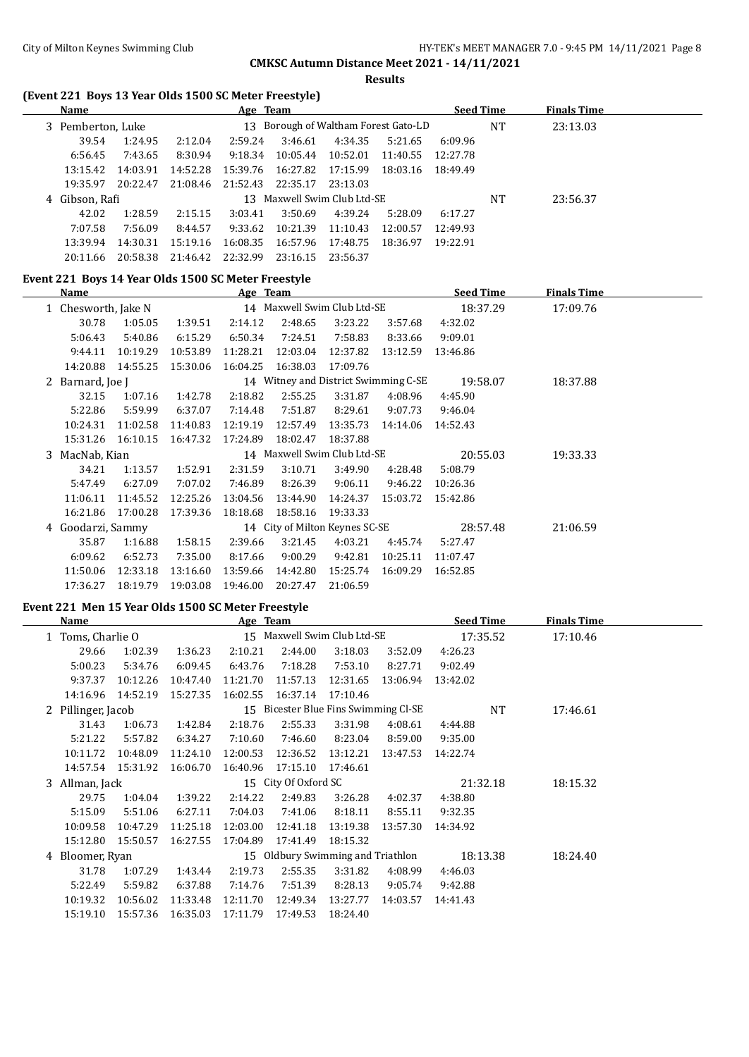## City of Milton Keynes Swimming Club **HY-TEK's MEET MANAGER 7.0 - 9:45 PM 14/11/2021** Page 8

## **CMKSC Autumn Distance Meet 2021 - 14/11/2021**

**Results**

## **(Event 221 Boys 13 Year Olds 1500 SC Meter Freestyle)**

| Name              |          | <u>Age Team</u>                      |          |          |          |          |          | <b>Seed Time</b> | <b>Finals Time</b> |  |
|-------------------|----------|--------------------------------------|----------|----------|----------|----------|----------|------------------|--------------------|--|
| 3 Pemberton, Luke |          | 13 Borough of Waltham Forest Gato-LD |          |          |          |          |          | NT               | 23:13.03           |  |
| 39.54             | 1:24.95  | 2:12.04                              | 2:59.24  | 3:46.61  | 4:34.35  | 5:21.65  | 6:09.96  |                  |                    |  |
| 6:56.45           | 7:43.65  | 8:30.94                              | 9:18.34  | 10:05.44 | 10:52.01 | 11:40.55 | 12:27.78 |                  |                    |  |
| 13:15.42          | 14:03.91 | 14:52.28                             | 15:39.76 | 16:27.82 | 17:15.99 | 18:03.16 | 18:49.49 |                  |                    |  |
| 19:35.97          | 20:22.47 | 21:08.46                             | 21:52.43 | 22:35.17 | 23:13.03 |          |          |                  |                    |  |
| 4 Gibson, Rafi    |          | Maxwell Swim Club Ltd-SE<br>13       |          |          |          |          |          | NT               | 23:56.37           |  |
| 42.02             | 1:28.59  | 2:15.15                              | 3:03.41  | 3:50.69  | 4:39.24  | 5:28.09  | 6:17.27  |                  |                    |  |
| 7:07.58           | 7:56.09  | 8:44.57                              | 9:33.62  | 10:21.39 | 11:10.43 | 12:00.57 | 12:49.93 |                  |                    |  |
| 13:39.94          | 14:30.31 | 15:19.16                             | 16:08.35 | 16:57.96 | 17:48.75 | 18:36.97 | 19:22.91 |                  |                    |  |
| 20:11.66          | 20:58.38 | 21:46.42                             | 22:32.99 | 23:16.15 | 23:56.37 |          |          |                  |                    |  |

## **Event 221 Boys 14 Year Olds 1500 SC Meter Freestyle**

| <b>Name</b>         |          |                                    |          |          |          |          | <b>Seed Time</b>                                                                             | <b>Finals Time</b>                   |  |
|---------------------|----------|------------------------------------|----------|----------|----------|----------|----------------------------------------------------------------------------------------------|--------------------------------------|--|
| 1 Chesworth, Jake N |          |                                    |          |          |          |          | 18:37.29                                                                                     | 17:09.76                             |  |
| 30.78               | 1:05.05  | 1:39.51                            | 2:14.12  | 2:48.65  | 3:23.22  | 3:57.68  | 4:32.02                                                                                      |                                      |  |
| 5:06.43             | 5:40.86  | 6:15.29                            | 6:50.34  | 7:24.51  | 7:58.83  | 8:33.66  | 9:09.01                                                                                      |                                      |  |
| 9:44.11             | 10:19.29 | 10:53.89                           | 11:28.21 | 12:03.04 | 12:37.82 | 13:12.59 | 13:46.86                                                                                     |                                      |  |
| 14:20.88            | 14:55.25 | 15:30.06                           | 16:04.25 | 16:38.03 | 17:09.76 |          |                                                                                              |                                      |  |
|                     |          |                                    |          |          |          |          | 19:58.07                                                                                     | 18:37.88                             |  |
| 32.15               | 1:07.16  | 1:42.78                            | 2:18.82  | 2:55.25  | 3:31.87  | 4:08.96  | 4:45.90                                                                                      |                                      |  |
| 5:22.86             | 5:59.99  | 6:37.07                            | 7:14.48  | 7:51.87  | 8:29.61  | 9:07.73  | 9:46.04                                                                                      |                                      |  |
| 10:24.31            | 11:02.58 | 11:40.83                           | 12:19.19 | 12:57.49 | 13:35.73 | 14:14.06 | 14:52.43                                                                                     |                                      |  |
| 15:31.26            | 16:10.15 | 16:47.32                           | 17:24.89 | 18:02.47 | 18:37.88 |          |                                                                                              |                                      |  |
|                     |          |                                    |          |          |          |          | 20:55.03                                                                                     | 19:33.33                             |  |
| 34.21               | 1:13.57  | 1:52.91                            | 2:31.59  | 3:10.71  | 3:49.90  | 4:28.48  | 5:08.79                                                                                      |                                      |  |
| 5:47.49             | 6:27.09  | 7:07.02                            | 7:46.89  | 8:26.39  | 9:06.11  | 9:46.22  | 10:26.36                                                                                     |                                      |  |
| 11:06.11            | 11:45.52 | 12:25.26                           | 13:04.56 | 13:44.90 | 14:24.37 | 15:03.72 | 15:42.86                                                                                     |                                      |  |
| 16:21.86            | 17:00.28 | 17:39.36                           | 18:18.68 | 18:58.16 | 19:33.33 |          |                                                                                              |                                      |  |
| 4 Goodarzi, Sammy   |          |                                    |          |          |          |          | 28:57.48                                                                                     | 21:06.59                             |  |
| 35.87               | 1:16.88  | 1:58.15                            | 2:39.66  | 3:21.45  | 4:03.21  | 4:45.74  | 5:27.47                                                                                      |                                      |  |
| 6:09.62             | 6:52.73  | 7:35.00                            | 8:17.66  | 9:00.29  | 9:42.81  | 10:25.11 | 11:07.47                                                                                     |                                      |  |
| 11:50.06            | 12:33.18 | 13:16.60                           | 13:59.66 | 14:42.80 | 15:25.74 | 16:09.29 | 16:52.85                                                                                     |                                      |  |
| 17:36.27            | 18:19.79 | 19:03.08                           | 19:46.00 | 20:27.47 | 21:06.59 |          |                                                                                              |                                      |  |
|                     |          | 2 Barnard, Joe J<br>3 MacNab, Kian |          |          | Age Team |          | 14 Maxwell Swim Club Ltd-SE<br>14 Maxwell Swim Club Ltd-SE<br>14 City of Milton Keynes SC-SE | 14 Witney and District Swimming C-SE |  |

## **Event 221 Men 15 Year Olds 1500 SC Meter Freestyle**

| <b>Name</b> |                    |          |          | Age Team                             |          |          |          | <b>Seed Time</b> |           | <b>Finals Time</b> |  |
|-------------|--------------------|----------|----------|--------------------------------------|----------|----------|----------|------------------|-----------|--------------------|--|
|             | 1 Toms, Charlie O  |          |          | 15 Maxwell Swim Club Ltd-SE          |          |          |          |                  | 17:35.52  | 17:10.46           |  |
|             | 29.66              | 1:02.39  | 1:36.23  | 2:10.21                              | 2:44.00  | 3:18.03  | 3:52.09  | 4:26.23          |           |                    |  |
|             | 5:00.23            | 5:34.76  | 6:09.45  | 6:43.76                              | 7:18.28  | 7:53.10  | 8:27.71  | 9:02.49          |           |                    |  |
|             | 9:37.37            | 10:12.26 | 10:47.40 | 11:21.70                             | 11:57.13 | 12:31.65 | 13:06.94 | 13:42.02         |           |                    |  |
|             | 14:16.96           | 14:52.19 | 15:27.35 | 16:02.55                             | 16:37.14 | 17:10.46 |          |                  |           |                    |  |
|             | 2 Pillinger, Jacob |          |          | 15 Bicester Blue Fins Swimming Cl-SE |          |          |          |                  | <b>NT</b> | 17:46.61           |  |
|             | 31.43              | 1:06.73  | 1:42.84  | 2:18.76                              | 2:55.33  | 3:31.98  | 4:08.61  | 4:44.88          |           |                    |  |
|             | 5:21.22            | 5:57.82  | 6:34.27  | 7:10.60                              | 7:46.60  | 8:23.04  | 8:59.00  | 9:35.00          |           |                    |  |
|             | 10:11.72           | 10:48.09 | 11:24.10 | 12:00.53                             | 12:36.52 | 13:12.21 | 13:47.53 | 14:22.74         |           |                    |  |
|             | 14:57.54           | 15:31.92 | 16:06.70 | 16:40.96                             | 17:15.10 | 17:46.61 |          |                  |           |                    |  |
|             | 3 Allman, Jack     |          |          | 15 City Of Oxford SC                 |          |          |          | 21:32.18         | 18:15.32  |                    |  |
|             | 29.75              | 1:04.04  | 1:39.22  | 2:14.22                              | 2:49.83  | 3:26.28  | 4:02.37  | 4:38.80          |           |                    |  |
|             | 5:15.09            | 5:51.06  | 6:27.11  | 7:04.03                              | 7:41.06  | 8:18.11  | 8:55.11  | 9:32.35          |           |                    |  |
|             | 10:09.58           | 10:47.29 | 11:25.18 | 12:03.00                             | 12:41.18 | 13:19.38 | 13:57.30 | 14:34.92         |           |                    |  |
|             | 15:12.80           | 15:50.57 | 16:27.55 | 17:04.89                             | 17:41.49 | 18:15.32 |          |                  |           |                    |  |
|             | 4 Bloomer, Ryan    |          |          | 15 Oldbury Swimming and Triathlon    |          |          |          |                  | 18:13.38  | 18:24.40           |  |
|             | 31.78              | 1:07.29  | 1:43.44  | 2:19.73                              | 2:55.35  | 3:31.82  | 4:08.99  | 4:46.03          |           |                    |  |
|             | 5:22.49            | 5:59.82  | 6:37.88  | 7:14.76                              | 7:51.39  | 8:28.13  | 9:05.74  | 9:42.88          |           |                    |  |
|             | 10:19.32           | 10:56.02 | 11:33.48 | 12:11.70                             | 12:49.34 | 13:27.77 | 14:03.57 | 14:41.43         |           |                    |  |
|             | 15:19.10           | 15:57.36 | 16:35.03 | 17:11.79                             | 17:49.53 | 18:24.40 |          |                  |           |                    |  |